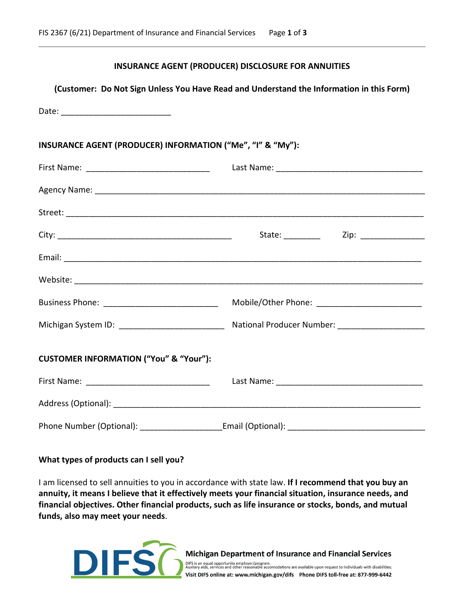## **INSURANCE AGENT (PRODUCER) DISCLOSURE FOR ANNUITIES**

# **(Customer: Do Not Sign Unless You Have Read and Understand the Information in this Form)**

| INSURANCE AGENT (PRODUCER) INFORMATION ("Me", "I" & "My"): |                                                                                                     |  |
|------------------------------------------------------------|-----------------------------------------------------------------------------------------------------|--|
|                                                            |                                                                                                     |  |
|                                                            |                                                                                                     |  |
|                                                            |                                                                                                     |  |
|                                                            |                                                                                                     |  |
|                                                            |                                                                                                     |  |
|                                                            |                                                                                                     |  |
| Business Phone: _________________________________          | Mobile/Other Phone: __________________________                                                      |  |
|                                                            | Michigan System ID: ____________________________ National Producer Number: ________________________ |  |
| <b>CUSTOMER INFORMATION ("You" &amp; "Your"):</b>          |                                                                                                     |  |
|                                                            |                                                                                                     |  |
|                                                            |                                                                                                     |  |
|                                                            |                                                                                                     |  |

#### **What types of products can I sell you?**

I am licensed to sell annuities to you in accordance with state law. **If I recommend that you buy an annuity, it means I believe that it effectively meets your financial situation, insurance needs, and financial objectives. Other financial products, such as life insurance or stocks, bonds, and mutual funds, also may meet your needs**.



Michigan Department of Insurance and Financial Services

DIFS is an equal opportunity employer/program.<br>Auxilary aids, services and other reasonable accomodations are available upon request to individuals with disabilities. Visit DIFS online at: www.michigan.gov/difs Phone DIFS toll-free at: 877-999-6442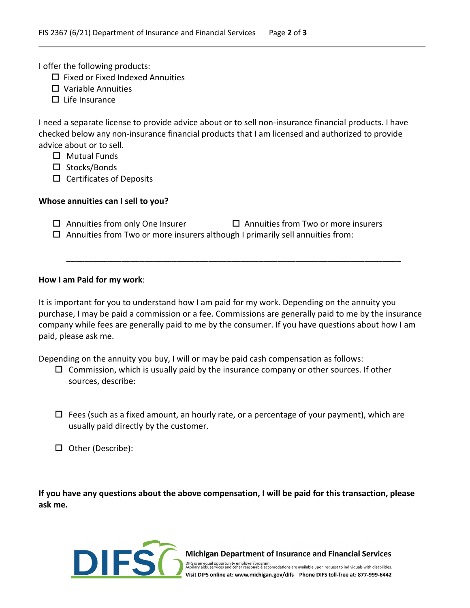I offer the following products:

- $\Box$  Fixed or Fixed Indexed Annuities
- $\square$  Variable Annuities
- $\Box$  Life Insurance

I need a separate license to provide advice about or to sell non-insurance financial products. I have checked below any non-insurance financial products that I am licensed and authorized to provide advice about or to sell.

- $\Box$  Mutual Funds
- $\square$  Stocks/Bonds
- $\square$  Certificates of Deposits

## **Whose annuities can I sell to you?**

| $\Box$ Annuities from only One Insurer | $\Box$ Annuities from Two or more insurers |
|----------------------------------------|--------------------------------------------|
|----------------------------------------|--------------------------------------------|

 $\Box$  Annuities from Two or more insurers although I primarily sell annuities from:

## **How I am Paid for my work**:

It is important for you to understand how I am paid for my work. Depending on the annuity you purchase, I may be paid a commission or a fee. Commissions are generally paid to me by the insurance company while fees are generally paid to me by the consumer. If you have questions about how I am paid, please ask me.

\_\_\_\_\_\_\_\_\_\_\_\_\_\_\_\_\_\_\_\_\_\_\_\_\_\_\_\_\_\_\_\_\_\_\_\_\_\_\_\_\_\_\_\_\_\_\_\_\_\_\_\_\_\_\_\_\_\_\_\_\_\_\_\_\_\_\_\_\_\_\_\_\_

Depending on the annuity you buy, I will or may be paid cash compensation as follows:

- $\Box$  Commission, which is usually paid by the insurance company or other sources. If other sources, describe:
- $\Box$  Fees (such as a fixed amount, an hourly rate, or a percentage of your payment), which are usually paid directly by the customer.
- □ Other (Describe):

**If you have any questions about the above compensation, I will be paid for this transaction, please ask me.**



**Michigan Department of Insurance and Financial Services** 

DIFS is an equal opportunity employer/program.<br>Auxilary aids, services and other reasonable accomodations are available upon request to individuals with disabilities. Visit DIFS online at: www.michigan.gov/difs Phone DIFS toll-free at: 877-999-6442